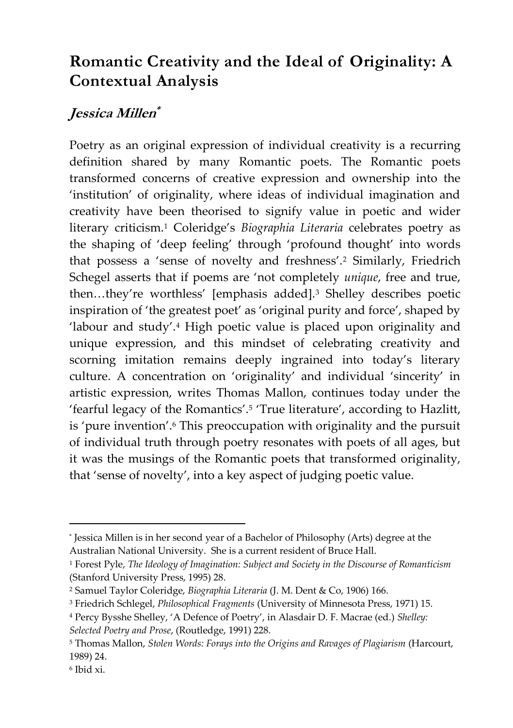## **Romantic Creativity and the Ideal of Originality: A Contextual Analysis**

## **Jessica Millen \***

Poetry as an original expression of individual creativity is a recurring definition shared by many Romantic poets. The Romantic poets transformed concerns of creative expression and ownership into the 'institution' of originality, where ideas of individual imagination and creativity have been theorised to signify value in poetic and wider literary criticism.<sup>1</sup> Coleridge's *Biographia Literaria* celebrates poetry as the shaping of 'deep feeling' through 'profound thought' into words that possess a 'sense of novelty and freshness'.<sup>2</sup> Similarly, Friedrich Schegel asserts that if poems are 'not completely *unique*, free and true, then...they're worthless' [emphasis added].<sup>3</sup> Shelley describes poetic inspiration of 'the greatest poet' as 'original purity and force', shaped by 'labour and study'.<sup>4</sup> High poetic value is placed upon originality and unique expression, and this mindset of celebrating creativity and scorning imitation remains deeply ingrained into today's literary culture. A concentration on 'originality' and individual 'sincerity' in artistic expression, writes Thomas Mallon, continues today under the 'fearful legacy of the Romantics'.<sup>5</sup> 'True literature', according to Hazlitt, is 'pure invention'.<sup>6</sup> This preoccupation with originality and the pursuit of individual truth through poetry resonates with poets of all ages, but it was the musings of the Romantic poets that transformed originality, that 'sense of novelty', into a key aspect of judging poetic value.

<sup>\*</sup> Jessica Millen is in her second year of a Bachelor of Philosophy (Arts) degree at the Australian National University. She is a current resident of Bruce Hall.

<sup>1</sup> Forest Pyle, *The Ideology of Imagination: Subject and Society in the Discourse of Romanticism* (Stanford University Press, 1995) 28.

<sup>2</sup> Samuel Taylor Coleridge, *Biographia Literaria* (J. M. Dent & Co, 1906) 166.

<sup>3</sup> Friedrich Schlegel, *Philosophical Fragments* (University of Minnesota Press, 1971) 15.

<sup>4</sup> Percy Bysshe Shelley, 'A Defence of Poetry', in Alasdair D. F. Macrae (ed.) *Shelley: Selected Poetry and Prose*, (Routledge, 1991) 228.

<sup>5</sup> Thomas Mallon, *Stolen Words: Forays into the Origins and Ravages of Plagiarism* (Harcourt, 1989) 24.

<sup>6</sup> Ibid xi.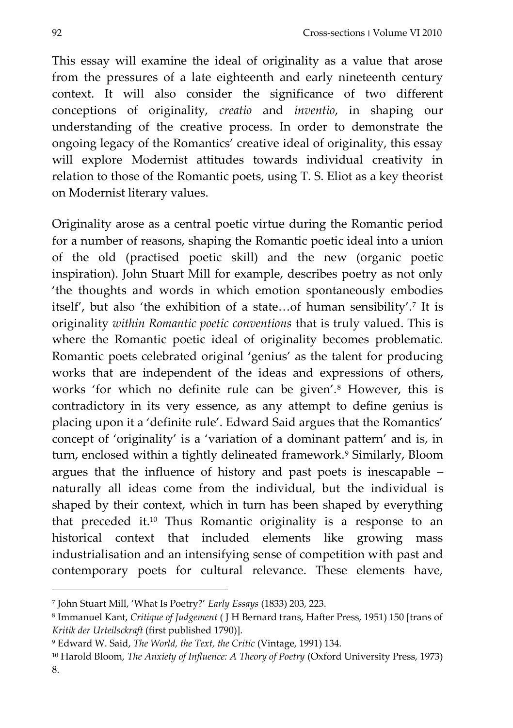This essay will examine the ideal of originality as a value that arose from the pressures of a late eighteenth and early nineteenth century context. It will also consider the significance of two different conceptions of originality, *creatio* and *inventio*, in shaping our understanding of the creative process. In order to demonstrate the ongoing legacy of the Romantics' creative ideal of originality, this essay will explore Modernist attitudes towards individual creativity in relation to those of the Romantic poets, using T. S. Eliot as a key theorist on Modernist literary values.

Originality arose as a central poetic virtue during the Romantic period for a number of reasons, shaping the Romantic poetic ideal into a union of the old (practised poetic skill) and the new (organic poetic inspiration). John Stuart Mill for example, describes poetry as not only 'the thoughts and words in which emotion spontaneously embodies itself', but also 'the exhibition of a state...of human sensibility'.<sup>7</sup> It is originality *within Romantic poetic conventions* that is truly valued. This is where the Romantic poetic ideal of originality becomes problematic. Romantic poets celebrated original 'genius' as the talent for producing works that are independent of the ideas and expressions of others, works 'for which no definite rule can be given'.<sup>8</sup> However, this is contradictory in its very essence, as any attempt to define genius is placing upon it a 'definite rule'. Edward Said argues that the Romantics' concept of 'originality' is a 'variation of a dominant pattern' and is, in turn, enclosed within a tightly delineated framework.<sup>9</sup> Similarly, Bloom argues that the influence of history and past poets is inescapable – naturally all ideas come from the individual, but the individual is shaped by their context, which in turn has been shaped by everything that preceded it.<sup>10</sup> Thus Romantic originality is a response to an historical context that included elements like growing mass industrialisation and an intensifying sense of competition with past and contemporary poets for cultural relevance. These elements have,

<sup>7</sup> John Stuart Mill, 'What Is Poetry?' *Early Essays* (1833) 203, 223.

<sup>8</sup> Immanuel Kant, *Critique of Judgement* ( J H Bernard trans, Hafter Press, 1951) 150 [trans of *Kritik der Urteilsckraft* (first published 1790)].

<sup>9</sup> Edward W. Said, *The World, the Text, the Critic* (Vintage, 1991) 134.

<sup>10</sup> Harold Bloom, *The Anxiety of Influence: A Theory of Poetry* (Oxford University Press, 1973) 8.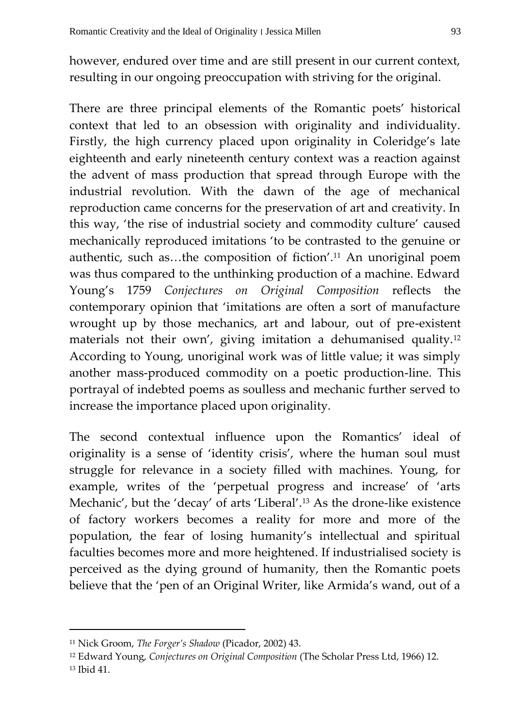however, endured over time and are still present in our current context, resulting in our ongoing preoccupation with striving for the original.

There are three principal elements of the Romantic poets' historical context that led to an obsession with originality and individuality. Firstly, the high currency placed upon originality in Coleridge's late eighteenth and early nineteenth century context was a reaction against the advent of mass production that spread through Europe with the industrial revolution. With the dawn of the age of mechanical reproduction came concerns for the preservation of art and creativity. In this way, 'the rise of industrial society and commodity culture' caused mechanically reproduced imitations 'to be contrasted to the genuine or authentic, such as...the composition of fiction'.<sup>11</sup> An unoriginal poem was thus compared to the unthinking production of a machine. Edward Young's 1759 *Conjectures on Original Composition* reflects the contemporary opinion that 'imitations are often a sort of manufacture wrought up by those mechanics, art and labour, out of pre-existent materials not their own', giving imitation a dehumanised quality.<sup>12</sup> According to Young, unoriginal work was of little value; it was simply another mass-produced commodity on a poetic production-line. This portrayal of indebted poems as soulless and mechanic further served to increase the importance placed upon originality.

The second contextual influence upon the Romantics' ideal of originality is a sense of 'identity crisis', where the human soul must struggle for relevance in a society filled with machines. Young, for example, writes of the 'perpetual progress and increase' of 'arts Mechanic', but the 'decay' of arts 'Liberal'.<sup>13</sup> As the drone-like existence of factory workers becomes a reality for more and more of the population, the fear of losing humanity's intellectual and spiritual faculties becomes more and more heightened. If industrialised society is perceived as the dying ground of humanity, then the Romantic poets believe that the 'pen of an Original Writer, like Armida's wand, out of a

<sup>11</sup> Nick Groom, *The Forger's Shadow* (Picador, 2002) 43.

<sup>12</sup> Edward Young, *Conjectures on Original Composition* (The Scholar Press Ltd, 1966) 12. <sup>13</sup> Ibid 41.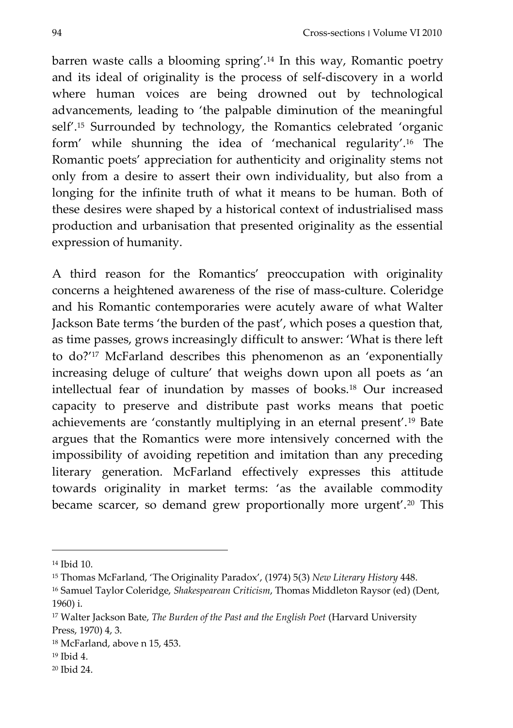barren waste calls a blooming spring'.<sup>14</sup> In this way, Romantic poetry and its ideal of originality is the process of self-discovery in a world where human voices are being drowned out by technological advancements, leading to 'the palpable diminution of the meaningful self'.<sup>15</sup> Surrounded by technology, the Romantics celebrated 'organic form' while shunning the idea of 'mechanical regularity'.<sup>16</sup> The Romantic poets' appreciation for authenticity and originality stems not only from a desire to assert their own individuality, but also from a longing for the infinite truth of what it means to be human. Both of these desires were shaped by a historical context of industrialised mass production and urbanisation that presented originality as the essential expression of humanity.

A third reason for the Romantics' preoccupation with originality concerns a heightened awareness of the rise of mass-culture. Coleridge and his Romantic contemporaries were acutely aware of what Walter Jackson Bate terms 'the burden of the past', which poses a question that, as time passes, grows increasingly difficult to answer: 'What is there left to do?'<sup>17</sup> McFarland describes this phenomenon as an 'exponentially increasing deluge of culture' that weighs down upon all poets as 'an intellectual fear of inundation by masses of books.<sup>18</sup> Our increased capacity to preserve and distribute past works means that poetic achievements are 'constantly multiplying in an eternal present'.<sup>19</sup> Bate argues that the Romantics were more intensively concerned with the impossibility of avoiding repetition and imitation than any preceding literary generation. McFarland effectively expresses this attitude towards originality in market terms: 'as the available commodity became scarcer, so demand grew proportionally more urgent'.<sup>20</sup> This

 $\overline{a}$ 

<sup>20</sup> Ibid 24.

<sup>14</sup> Ibid 10.

<sup>15</sup> Thomas McFarland, 'The Originality Paradox', (1974) 5(3) *New Literary History* 448.

<sup>16</sup> Samuel Taylor Coleridge, *Shakespearean Criticism*, Thomas Middleton Raysor (ed) (Dent, 1960) i.

<sup>17</sup> Walter Jackson Bate, *The Burden of the Past and the English Poet* (Harvard University Press, 1970) 4, 3.

<sup>18</sup> McFarland, above n 15, 453.

<sup>19</sup> Ibid 4.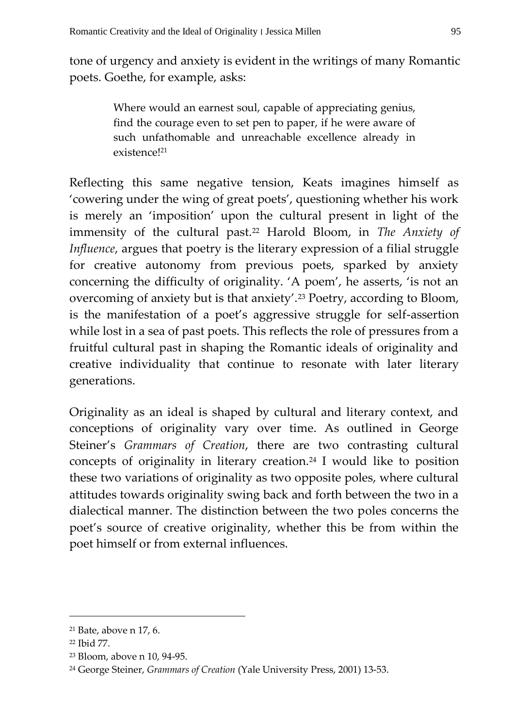tone of urgency and anxiety is evident in the writings of many Romantic poets. Goethe, for example, asks:

> Where would an earnest soul, capable of appreciating genius, find the courage even to set pen to paper, if he were aware of such unfathomable and unreachable excellence already in existence!<sup>21</sup>

Reflecting this same negative tension, Keats imagines himself as 'cowering under the wing of great poets', questioning whether his work is merely an 'imposition' upon the cultural present in light of the immensity of the cultural past.<sup>22</sup> Harold Bloom, in *The Anxiety of Influence*, argues that poetry is the literary expression of a filial struggle for creative autonomy from previous poets, sparked by anxiety concerning the difficulty of originality. 'A poem', he asserts, 'is not an overcoming of anxiety but is that anxiety'.<sup>23</sup> Poetry, according to Bloom, is the manifestation of a poet's aggressive struggle for self-assertion while lost in a sea of past poets. This reflects the role of pressures from a fruitful cultural past in shaping the Romantic ideals of originality and creative individuality that continue to resonate with later literary generations.

Originality as an ideal is shaped by cultural and literary context, and conceptions of originality vary over time. As outlined in George Steiner's *Grammars of Creation*, there are two contrasting cultural concepts of originality in literary creation.<sup>24</sup> I would like to position these two variations of originality as two opposite poles, where cultural attitudes towards originality swing back and forth between the two in a dialectical manner. The distinction between the two poles concerns the poet's source of creative originality, whether this be from within the poet himself or from external influences.

<sup>21</sup> Bate, above n 17, 6.

<sup>22</sup> Ibid 77.

<sup>23</sup> Bloom, above n 10, 94-95.

<sup>24</sup> George Steiner, *Grammars of Creation* (Yale University Press, 2001) 13-53.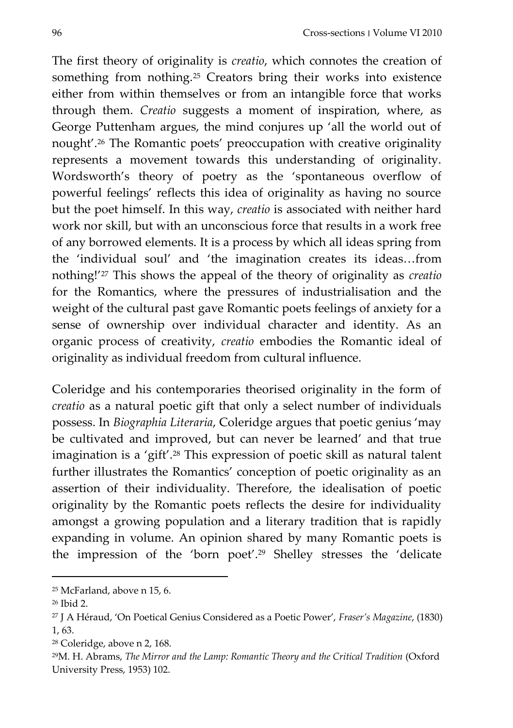The first theory of originality is *creatio*, which connotes the creation of something from nothing.<sup>25</sup> Creators bring their works into existence either from within themselves or from an intangible force that works through them. *Creatio* suggests a moment of inspiration, where, as George Puttenham argues, the mind conjures up 'all the world out of nought'.<sup>26</sup> The Romantic poets' preoccupation with creative originality represents a movement towards this understanding of originality. Wordsworth's theory of poetry as the 'spontaneous overflow of powerful feelings' reflects this idea of originality as having no source but the poet himself. In this way, *creatio* is associated with neither hard work nor skill, but with an unconscious force that results in a work free of any borrowed elements. It is a process by which all ideas spring from the 'individual soul' and 'the imagination creates its ideas...from nothing!'<sup>27</sup> This shows the appeal of the theory of originality as *creatio* for the Romantics, where the pressures of industrialisation and the weight of the cultural past gave Romantic poets feelings of anxiety for a sense of ownership over individual character and identity. As an organic process of creativity, *creatio* embodies the Romantic ideal of originality as individual freedom from cultural influence.

Coleridge and his contemporaries theorised originality in the form of *creatio* as a natural poetic gift that only a select number of individuals possess. In *Biographia Literaria*, Coleridge argues that poetic genius 'may be cultivated and improved, but can never be learned' and that true imagination is a 'gift'.<sup>28</sup> This expression of poetic skill as natural talent further illustrates the Romantics' conception of poetic originality as an assertion of their individuality. Therefore, the idealisation of poetic originality by the Romantic poets reflects the desire for individuality amongst a growing population and a literary tradition that is rapidly expanding in volume. An opinion shared by many Romantic poets is the impression of the 'born poet'.<sup>29</sup> Shelley stresses the 'delicate

<sup>25</sup> McFarland, above n 15, 6.

<sup>26</sup> Ibid 2.

<sup>27</sup> J A Héraud, 'On Poetical Genius Considered as a Poetic Power', *Fraser's Magazine*, (1830) 1, 63.

<sup>28</sup> Coleridge, above n 2, 168.

<sup>29</sup>M. H. Abrams, *The Mirror and the Lamp: Romantic Theory and the Critical Tradition* (Oxford University Press, 1953) 102.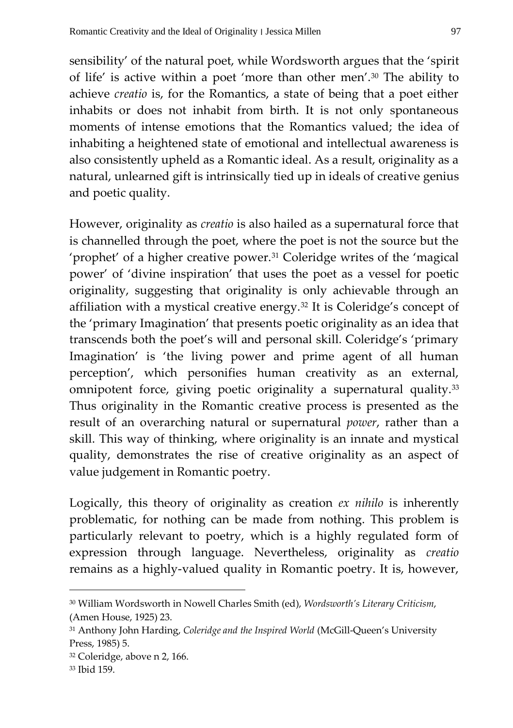sensibility' of the natural poet, while Wordsworth argues that the 'spirit of life' is active within a poet 'more than other men'.<sup>30</sup> The ability to achieve *creatio* is, for the Romantics, a state of being that a poet either inhabits or does not inhabit from birth. It is not only spontaneous moments of intense emotions that the Romantics valued; the idea of inhabiting a heightened state of emotional and intellectual awareness is also consistently upheld as a Romantic ideal. As a result, originality as a natural, unlearned gift is intrinsically tied up in ideals of creative genius and poetic quality.

However, originality as *creatio* is also hailed as a supernatural force that is channelled through the poet, where the poet is not the source but the 'prophet' of a higher creative power.<sup>31</sup> Coleridge writes of the 'magical power' of 'divine inspiration' that uses the poet as a vessel for poetic originality, suggesting that originality is only achievable through an affiliation with a mystical creative energy.<sup>32</sup> It is Coleridge's concept of the 'primary Imagination' that presents poetic originality as an idea that transcends both the poet's will and personal skill. Coleridge's 'primary Imagination' is 'the living power and prime agent of all human perception', which personifies human creativity as an external, omnipotent force, giving poetic originality a supernatural quality.<sup>33</sup> Thus originality in the Romantic creative process is presented as the result of an overarching natural or supernatural *power*, rather than a skill. This way of thinking, where originality is an innate and mystical quality, demonstrates the rise of creative originality as an aspect of value judgement in Romantic poetry.

Logically, this theory of originality as creation *ex nihilo* is inherently problematic, for nothing can be made from nothing. This problem is particularly relevant to poetry, which is a highly regulated form of expression through language. Nevertheless, originality as *creatio* remains as a highly-valued quality in Romantic poetry. It is, however,

<sup>30</sup> William Wordsworth in Nowell Charles Smith (ed), *Wordsworth's Literary Criticism*, (Amen House, 1925) 23.

<sup>31</sup> Anthony John Harding, *Coleridge and the Inspired World* (McGill-Queen's University Press, 1985) 5.

<sup>32</sup> Coleridge, above n 2, 166.

<sup>33</sup> Ibid 159.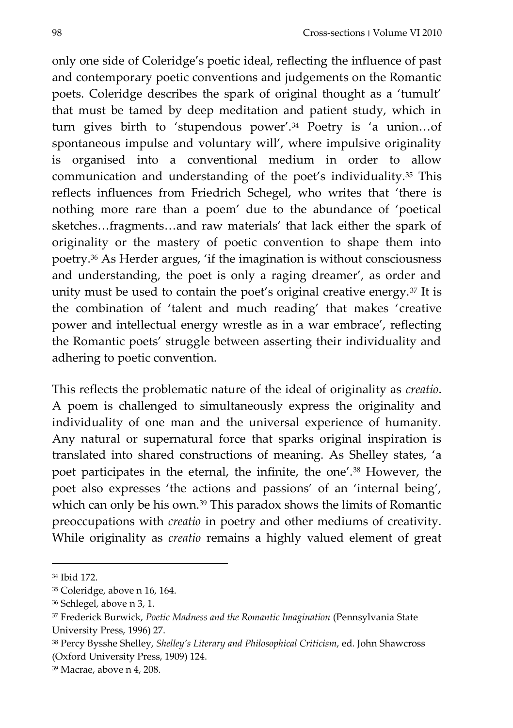only one side of Coleridge's poetic ideal, reflecting the influence of past and contemporary poetic conventions and judgements on the Romantic poets. Coleridge describes the spark of original thought as a 'tumult' that must be tamed by deep meditation and patient study, which in turn gives birth to 'stupendous power'.<sup>34</sup> Poetry is 'a union...of spontaneous impulse and voluntary will', where impulsive originality is organised into a conventional medium in order to allow communication and understanding of the poet's individuality.<sup>35</sup> This reflects influences from Friedrich Schegel, who writes that 'there is nothing more rare than a poem' due to the abundance of 'poetical sketches...fragments...and raw materials' that lack either the spark of originality or the mastery of poetic convention to shape them into poetry.<sup>36</sup> As Herder argues, 'if the imagination is without consciousness and understanding, the poet is only a raging dreamer', as order and unity must be used to contain the poet's original creative energy.<sup>37</sup> It is the combination of 'talent and much reading' that makes 'creative power and intellectual energy wrestle as in a war embrace', reflecting the Romantic poets' struggle between asserting their individuality and adhering to poetic convention.

This reflects the problematic nature of the ideal of originality as *creatio*. A poem is challenged to simultaneously express the originality and individuality of one man and the universal experience of humanity. Any natural or supernatural force that sparks original inspiration is translated into shared constructions of meaning. As Shelley states, 'a poet participates in the eternal, the infinite, the one'.<sup>38</sup> However, the poet also expresses 'the actions and passions' of an 'internal being', which can only be his own.<sup>39</sup> This paradox shows the limits of Romantic preoccupations with *creatio* in poetry and other mediums of creativity. While originality as *creatio* remains a highly valued element of great

<sup>34</sup> Ibid 172.

<sup>35</sup> Coleridge, above n 16, 164.

<sup>36</sup> Schlegel, above n 3, 1.

<sup>37</sup> Frederick Burwick, *Poetic Madness and the Romantic Imagination* (Pennsylvania State University Press, 1996) 27.

<sup>38</sup> Percy Bysshe Shelley, *Shelley's Literary and Philosophical Criticism*, ed. John Shawcross (Oxford University Press, 1909) 124.

<sup>39</sup> Macrae, above n 4, 208.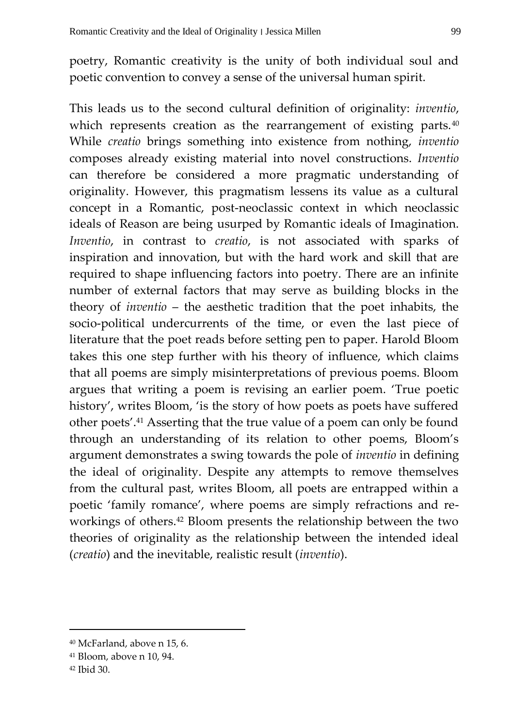poetry, Romantic creativity is the unity of both individual soul and poetic convention to convey a sense of the universal human spirit.

This leads us to the second cultural definition of originality: *inventio*, which represents creation as the rearrangement of existing parts.<sup>40</sup> While *creatio* brings something into existence from nothing, *inventio* composes already existing material into novel constructions. *Inventio* can therefore be considered a more pragmatic understanding of originality. However, this pragmatism lessens its value as a cultural concept in a Romantic, post-neoclassic context in which neoclassic ideals of Reason are being usurped by Romantic ideals of Imagination. *Inventio*, in contrast to *creatio*, is not associated with sparks of inspiration and innovation, but with the hard work and skill that are required to shape influencing factors into poetry. There are an infinite number of external factors that may serve as building blocks in the theory of *inventio* – the aesthetic tradition that the poet inhabits, the socio-political undercurrents of the time, or even the last piece of literature that the poet reads before setting pen to paper. Harold Bloom takes this one step further with his theory of influence, which claims that all poems are simply misinterpretations of previous poems. Bloom argues that writing a poem is revising an earlier poem. 'True poetic history', writes Bloom, 'is the story of how poets as poets have suffered other poets'.<sup>41</sup> Asserting that the true value of a poem can only be found through an understanding of its relation to other poems, Bloom's argument demonstrates a swing towards the pole of *inventio* in defining the ideal of originality. Despite any attempts to remove themselves from the cultural past, writes Bloom, all poets are entrapped within a poetic 'family romance', where poems are simply refractions and reworkings of others.<sup>42</sup> Bloom presents the relationship between the two theories of originality as the relationship between the intended ideal (*creatio*) and the inevitable, realistic result (*inventio*).

<sup>40</sup> McFarland, above n 15, 6.

<sup>41</sup> Bloom, above n 10, 94.

<sup>42</sup> Ibid 30.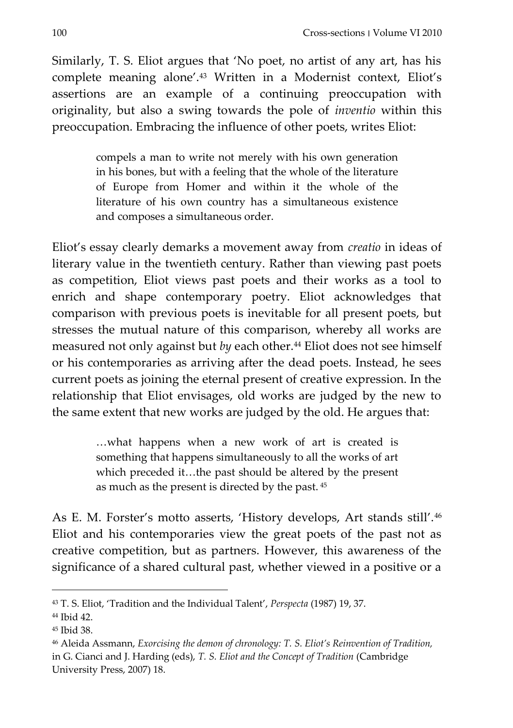Similarly, T. S. Eliot argues that 'No poet, no artist of any art, has his complete meaning alone'.<sup>43</sup> Written in a Modernist context, Eliot's assertions are an example of a continuing preoccupation with originality, but also a swing towards the pole of *inventio* within this preoccupation. Embracing the influence of other poets, writes Eliot:

> compels a man to write not merely with his own generation in his bones, but with a feeling that the whole of the literature of Europe from Homer and within it the whole of the literature of his own country has a simultaneous existence and composes a simultaneous order.

Eliot's essay clearly demarks a movement away from *creatio* in ideas of literary value in the twentieth century. Rather than viewing past poets as competition, Eliot views past poets and their works as a tool to enrich and shape contemporary poetry. Eliot acknowledges that comparison with previous poets is inevitable for all present poets, but stresses the mutual nature of this comparison, whereby all works are measured not only against but *by* each other.<sup>44</sup> Eliot does not see himself or his contemporaries as arriving after the dead poets. Instead, he sees current poets as joining the eternal present of creative expression. In the relationship that Eliot envisages, old works are judged by the new to the same extent that new works are judged by the old. He argues that:

> ...what happens when a new work of art is created is something that happens simultaneously to all the works of art which preceded it...the past should be altered by the present as much as the present is directed by the past. <sup>45</sup>

As E. M. Forster's motto asserts, 'History develops, Art stands still'.<sup>46</sup> Eliot and his contemporaries view the great poets of the past not as creative competition, but as partners. However, this awareness of the significance of a shared cultural past, whether viewed in a positive or a

<sup>43</sup> T. S. Eliot, 'Tradition and the Individual Talent', *Perspecta* (1987) 19, 37.

<sup>44</sup> Ibid 42.

<sup>45</sup> Ibid 38.

<sup>46</sup> Aleida Assmann, *Exorcising the demon of chronology: T. S. Eliot's Reinvention of Tradition,* in G. Cianci and J. Harding (eds), *T. S. Eliot and the Concept of Tradition* (Cambridge University Press, 2007) 18.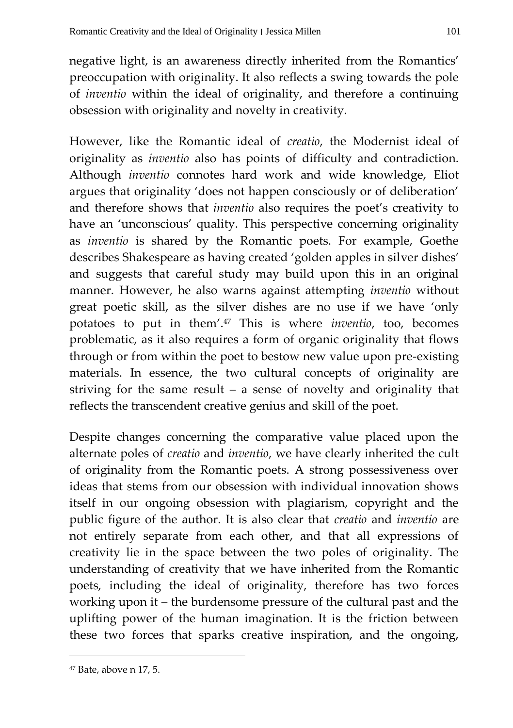negative light, is an awareness directly inherited from the Romantics' preoccupation with originality. It also reflects a swing towards the pole of *inventio* within the ideal of originality, and therefore a continuing obsession with originality and novelty in creativity.

However, like the Romantic ideal of *creatio*, the Modernist ideal of originality as *inventio* also has points of difficulty and contradiction. Although *inventio* connotes hard work and wide knowledge, Eliot argues that originality 'does not happen consciously or of deliberation' and therefore shows that *inventio* also requires the poet's creativity to have an 'unconscious' quality. This perspective concerning originality as *inventio* is shared by the Romantic poets. For example, Goethe describes Shakespeare as having created 'golden apples in silver dishes' and suggests that careful study may build upon this in an original manner. However, he also warns against attempting *inventio* without great poetic skill, as the silver dishes are no use if we have 'only potatoes to put in them'.<sup>47</sup> This is where *inventio*, too, becomes problematic, as it also requires a form of organic originality that flows through or from within the poet to bestow new value upon pre-existing materials. In essence, the two cultural concepts of originality are striving for the same result – a sense of novelty and originality that reflects the transcendent creative genius and skill of the poet.

Despite changes concerning the comparative value placed upon the alternate poles of *creatio* and *inventio*, we have clearly inherited the cult of originality from the Romantic poets. A strong possessiveness over ideas that stems from our obsession with individual innovation shows itself in our ongoing obsession with plagiarism, copyright and the public figure of the author. It is also clear that *creatio* and *inventio* are not entirely separate from each other, and that all expressions of creativity lie in the space between the two poles of originality. The understanding of creativity that we have inherited from the Romantic poets, including the ideal of originality, therefore has two forces working upon it – the burdensome pressure of the cultural past and the uplifting power of the human imagination. It is the friction between these two forces that sparks creative inspiration, and the ongoing,

<sup>47</sup> Bate, above n 17, 5.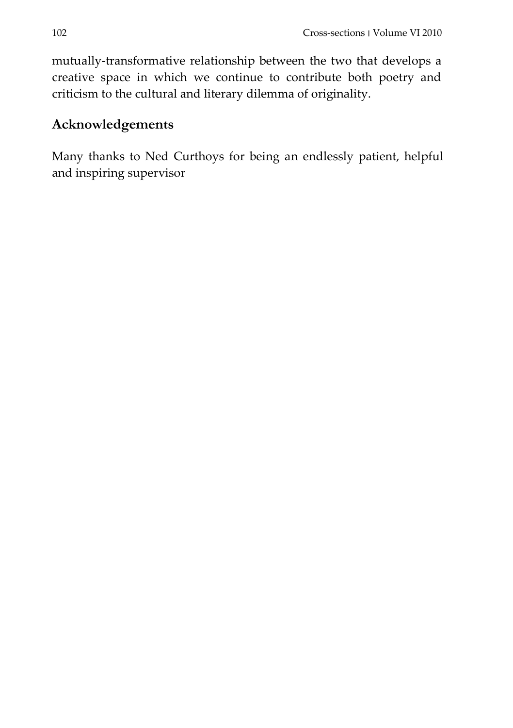mutually-transformative relationship between the two that develops a creative space in which we continue to contribute both poetry and criticism to the cultural and literary dilemma of originality.

## **Acknowledgements**

Many thanks to Ned Curthoys for being an endlessly patient, helpful and inspiring supervisor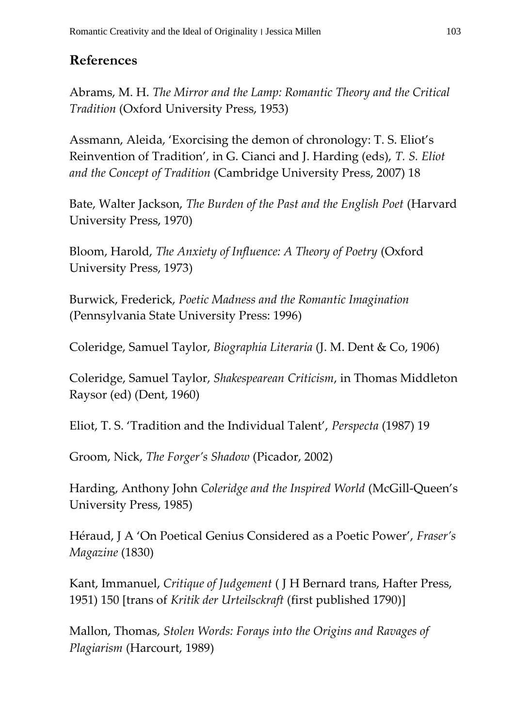## **References**

Abrams, M. H. *The Mirror and the Lamp: Romantic Theory and the Critical Tradition* (Oxford University Press, 1953)

Assmann, Aleida, 'Exorcising the demon of chronology: T. S. Eliot's Reinvention of Tradition'*,* in G. Cianci and J. Harding (eds), *T. S. Eliot and the Concept of Tradition* (Cambridge University Press, 2007) 18

Bate, Walter Jackson, *The Burden of the Past and the English Poet* (Harvard University Press, 1970)

Bloom, Harold, *The Anxiety of Influence: A Theory of Poetry* (Oxford University Press, 1973)

Burwick, Frederick, *Poetic Madness and the Romantic Imagination* (Pennsylvania State University Press: 1996)

Coleridge, Samuel Taylor, *Biographia Literaria* (J. M. Dent & Co, 1906)

Coleridge, Samuel Taylor, *Shakespearean Criticism*, in Thomas Middleton Raysor (ed) (Dent, 1960)

Eliot, T. S. 'Tradition and the Individual Talent', *Perspecta* (1987) 19

Groom, Nick, *The Forger's Shadow* (Picador, 2002)

Harding, Anthony John *Coleridge and the Inspired World* (McGill-Queen's University Press, 1985)

Héraud, J A 'On Poetical Genius Considered as a Poetic Power', *Fraser's Magazine* (1830)

Kant, Immanuel, *Critique of Judgement* ( J H Bernard trans, Hafter Press, 1951) 150 [trans of *Kritik der Urteilsckraft* (first published 1790)]

Mallon, Thomas, *Stolen Words: Forays into the Origins and Ravages of Plagiarism* (Harcourt, 1989)